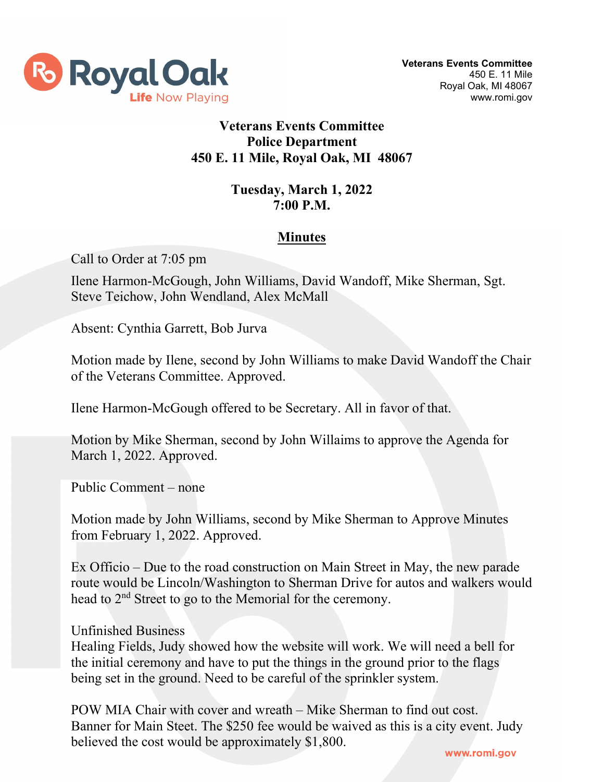

## **Veterans Events Committee Police Department 450 E. 11 Mile, Royal Oak, MI 48067**

## **Tuesday, March 1, 2022 7:00 P.M.**

## **Minutes**

Call to Order at 7:05 pm

Ilene Harmon-McGough, John Williams, David Wandoff, Mike Sherman, Sgt. Steve Teichow, John Wendland, Alex McMall

Absent: Cynthia Garrett, Bob Jurva

Motion made by Ilene, second by John Williams to make David Wandoff the Chair of the Veterans Committee. Approved.

Ilene Harmon-McGough offered to be Secretary. All in favor of that.

Motion by Mike Sherman, second by John Willaims to approve the Agenda for March 1, 2022. Approved.

Public Comment – none

Motion made by John Williams, second by Mike Sherman to Approve Minutes from February 1, 2022. Approved.

Ex Officio – Due to the road construction on Main Street in May, the new parade route would be Lincoln/Washington to Sherman Drive for autos and walkers would head to 2nd Street to go to the Memorial for the ceremony.

## Unfinished Business

Healing Fields, Judy showed how the website will work. We will need a bell for the initial ceremony and have to put the things in the ground prior to the flags being set in the ground. Need to be careful of the sprinkler system.

POW MIA Chair with cover and wreath – Mike Sherman to find out cost. Banner for Main Steet. The \$250 fee would be waived as this is a city event. Judy believed the cost would be approximately \$1,800.